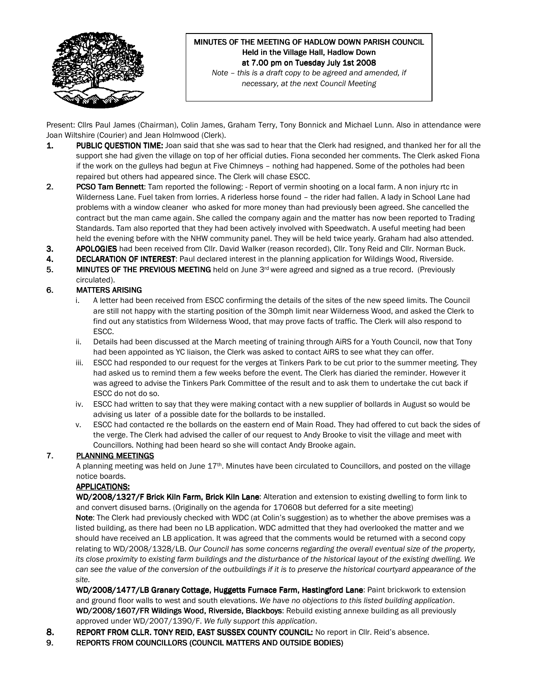

# MINUTES OF THE MEETING OF HADLOW DOWN PARISH COUNCIL Held in the Village Hall, Hadlow Down at 7.00 pm on Tuesday July 1st 2008

Note – this is a draft copy to be agreed and amended, if necessary, at the next Council Meeting

Present: Cllrs Paul James (Chairman), Colin James, Graham Terry, Tony Bonnick and Michael Lunn. Also in attendance were Joan Wiltshire (Courier) and Jean Holmwood (Clerk).

- 1. PUBLIC QUESTION TIME: Joan said that she was sad to hear that the Clerk had resigned, and thanked her for all the support she had given the village on top of her official duties. Fiona seconded her comments. The Clerk asked Fiona if the work on the gulleys had begun at Five Chimneys – nothing had happened. Some of the potholes had been repaired but others had appeared since. The Clerk will chase ESCC.
- 2. PCSO Tam Bennett: Tam reported the following: Report of vermin shooting on a local farm. A non injury rtc in Wilderness Lane. Fuel taken from lorries. A riderless horse found – the rider had fallen. A lady in School Lane had problems with a window cleaner who asked for more money than had previously been agreed. She cancelled the contract but the man came again. She called the company again and the matter has now been reported to Trading Standards. Tam also reported that they had been actively involved with Speedwatch. A useful meeting had been held the evening before with the NHW community panel. They will be held twice yearly. Graham had also attended.
- 3. APOLOGIES had been received from Cllr. David Walker (reason recorded), Cllr. Tony Reid and Cllr. Norman Buck.
- 4. DECLARATION OF INTEREST: Paul declared interest in the planning application for Wildings Wood, Riverside.
- 5. MINUTES OF THE PREVIOUS MEETING held on June  $3<sup>rd</sup>$  were agreed and signed as a true record. (Previously circulated).

#### 6. MATTERS ARISING

- i. A letter had been received from ESCC confirming the details of the sites of the new speed limits. The Council are still not happy with the starting position of the 30mph limit near Wilderness Wood, and asked the Clerk to find out any statistics from Wilderness Wood, that may prove facts of traffic. The Clerk will also respond to ESCC.
- ii. Details had been discussed at the March meeting of training through AiRS for a Youth Council, now that Tony had been appointed as YC liaison, the Clerk was asked to contact AiRS to see what they can offer.
- iii. ESCC had responded to our request for the verges at Tinkers Park to be cut prior to the summer meeting. They had asked us to remind them a few weeks before the event. The Clerk has diaried the reminder. However it was agreed to advise the Tinkers Park Committee of the result and to ask them to undertake the cut back if ESCC do not do so.
- iv. ESCC had written to say that they were making contact with a new supplier of bollards in August so would be advising us later of a possible date for the bollards to be installed.
- v. ESCC had contacted re the bollards on the eastern end of Main Road. They had offered to cut back the sides of the verge. The Clerk had advised the caller of our request to Andy Brooke to visit the village and meet with Councillors. Nothing had been heard so she will contact Andy Brooke again.

## 7. PLANNING MEETINGS

A planning meeting was held on June 17<sup>th</sup>. Minutes have been circulated to Councillors, and posted on the village notice boards.

## APPLICATIONS:

WD/2008/1327/F Brick Kiln Farm, Brick Kiln Lane: Alteration and extension to existing dwelling to form link to and convert disused barns. (Originally on the agenda for 170608 but deferred for a site meeting) Note: The Clerk had previously checked with WDC (at Colin's suggestion) as to whether the above premises was a listed building, as there had been no LB application. WDC admitted that they had overlooked the matter and we should have received an LB application. It was agreed that the comments would be returned with a second copy relating to WD/2008/1328/LB. Our Council has some concerns regarding the overall eventual size of the property, its close proximity to existing farm buildings and the disturbance of the historical layout of the existing dwelling. We can see the value of the conversion of the outbuildings if it is to preserve the historical courtyard appearance of the site.

WD/2008/1477/LB Granary Cottage, Huggetts Furnace Farm, Hastingford Lane: Paint brickwork to extension and ground floor walls to west and south elevations. We have no objections to this listed building application. WD/2008/1607/FR Wildings Wood, Riverside, Blackboys: Rebuild existing annexe building as all previously approved under WD/2007/1390/F. We fully support this application.

- 8. REPORT FROM CLLR. TONY REID, EAST SUSSEX COUNTY COUNCIL: No report in Cllr. Reid's absence.
- 9. REPORTS FROM COUNCILLORS (COUNCIL MATTERS AND OUTSIDE BODIES)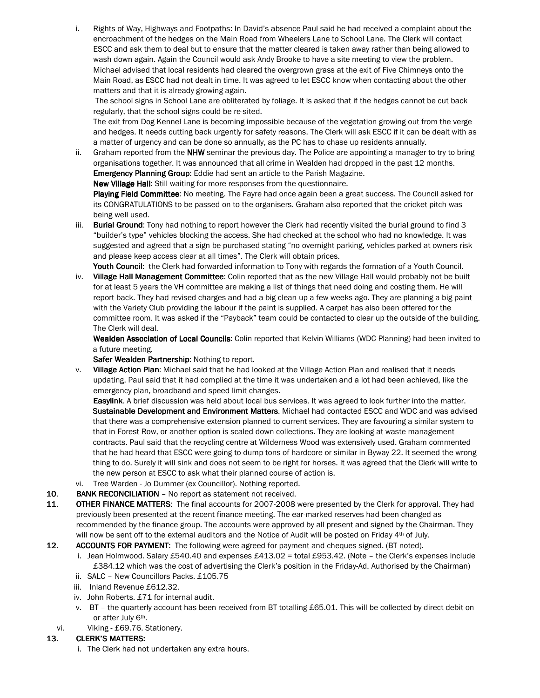i. Rights of Way, Highways and Footpaths: In David's absence Paul said he had received a complaint about the encroachment of the hedges on the Main Road from Wheelers Lane to School Lane. The Clerk will contact ESCC and ask them to deal but to ensure that the matter cleared is taken away rather than being allowed to wash down again. Again the Council would ask Andy Brooke to have a site meeting to view the problem. Michael advised that local residents had cleared the overgrown grass at the exit of Five Chimneys onto the Main Road, as ESCC had not dealt in time. It was agreed to let ESCC know when contacting about the other matters and that it is already growing again.

 The school signs in School Lane are obliterated by foliage. It is asked that if the hedges cannot be cut back regularly, that the school signs could be re-sited.

The exit from Dog Kennel Lane is becoming impossible because of the vegetation growing out from the verge and hedges. It needs cutting back urgently for safety reasons. The Clerk will ask ESCC if it can be dealt with as a matter of urgency and can be done so annually, as the PC has to chase up residents annually.

ii. Graham reported from the **NHW** seminar the previous day. The Police are appointing a manager to try to bring organisations together. It was announced that all crime in Wealden had dropped in the past 12 months. Emergency Planning Group: Eddie had sent an article to the Parish Magazine.

New Village Hall: Still waiting for more responses from the questionnaire.

Playing Field Committee: No meeting. The Fayre had once again been a great success. The Council asked for its CONGRATULATIONS to be passed on to the organisers. Graham also reported that the cricket pitch was being well used.

iii. Burial Ground: Tony had nothing to report however the Clerk had recently visited the burial ground to find 3 "builder's type" vehicles blocking the access. She had checked at the school who had no knowledge. It was suggested and agreed that a sign be purchased stating "no overnight parking, vehicles parked at owners risk and please keep access clear at all times". The Clerk will obtain prices.

Youth Council: the Clerk had forwarded information to Tony with regards the formation of a Youth Council.

iv. Village Hall Management Committee: Colin reported that as the new Village Hall would probably not be built for at least 5 years the VH committee are making a list of things that need doing and costing them. He will report back. They had revised charges and had a big clean up a few weeks ago. They are planning a big paint with the Variety Club providing the labour if the paint is supplied. A carpet has also been offered for the committee room. It was asked if the "Payback" team could be contacted to clear up the outside of the building. The Clerk will deal.

Wealden Association of Local Councils: Colin reported that Kelvin Williams (WDC Planning) had been invited to a future meeting.

Safer Wealden Partnership: Nothing to report.

v. Village Action Plan: Michael said that he had looked at the Village Action Plan and realised that it needs updating. Paul said that it had complied at the time it was undertaken and a lot had been achieved, like the emergency plan, broadband and speed limit changes.

Easylink. A brief discussion was held about local bus services. It was agreed to look further into the matter. Sustainable Development and Environment Matters. Michael had contacted ESCC and WDC and was advised that there was a comprehensive extension planned to current services. They are favouring a similar system to that in Forest Row, or another option is scaled down collections. They are looking at waste management contracts. Paul said that the recycling centre at Wilderness Wood was extensively used. Graham commented that he had heard that ESCC were going to dump tons of hardcore or similar in Byway 22. It seemed the wrong thing to do. Surely it will sink and does not seem to be right for horses. It was agreed that the Clerk will write to the new person at ESCC to ask what their planned course of action is.

- vi. Tree Warden Jo Dummer (ex Councillor). Nothing reported.
- 10. BANK RECONCILIATION No report as statement not received.
- 11. OTHER FINANCE MATTERS: The final accounts for 2007-2008 were presented by the Clerk for approval. They had previously been presented at the recent finance meeting. The ear-marked reserves had been changed as recommended by the finance group. The accounts were approved by all present and signed by the Chairman. They will now be sent off to the external auditors and the Notice of Audit will be posted on Friday 4th of July.

12. ACCOUNTS FOR PAYMENT: The following were agreed for payment and cheques signed. (BT noted).

- i. Jean Holmwood. Salary £540.40 and expenses £413.02 = total £953.42. (Note the Clerk's expenses include £384.12 which was the cost of advertising the Clerk's position in the Friday-Ad. Authorised by the Chairman)
- ii. SALC New Councillors Packs. £105.75
- iii. Inland Revenue £612.32.
- iv. John Roberts. £71 for internal audit.
- v. BT the quarterly account has been received from BT totalling £65.01. This will be collected by direct debit on or after July 6th.
- vi. Viking £69.76. Stationery.

#### 13. CLERK'S MATTERS:

i. The Clerk had not undertaken any extra hours.